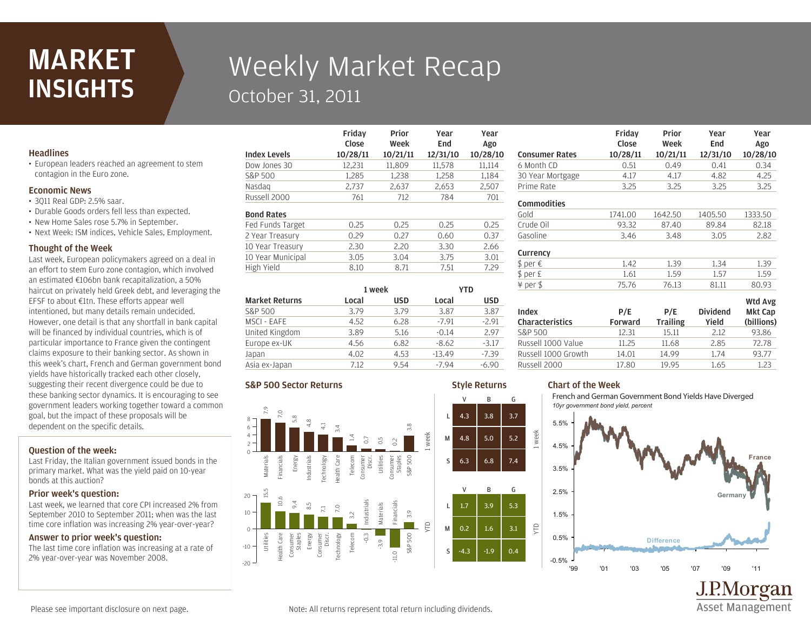## MARKET **INSIGHTS**

# Weekly Market Recap October 31, 2011

Friday

## **Headlines**

• European leaders reached an agreement to stem contagion in the Euro zone.

#### Economic News

- 3Q11 Real GDP: 2.5% saar.
- Durable Goods orders fell less than expected.
- New Home Sales rose 5.7% in September.
- Next Week: ISM indices, Vehicle Sales, Employment.

#### Thought of the Week

Last week, European policymakers agreed on a deal in an effort to stem Euro zone contagion, which involved an estimated €106bn bank recapitalization, a 50% haircut on privately held Greek debt, and leveraging the EFSF to about €1tn. These efforts appear well intentioned, but many details remain undecided. However, one detail is that any shortfall in bank capital will be financed by individual countries, which is of particular importance to France given the contingent claims exposure to their banking sector. As shown in this week's chart, French and German government bond yields have historically tracked each other closely, suggesting their recent divergence could be due to these banking sector dynamics. It is encouraging to see government leaders working together toward a common goal, but the impact of these proposals will be dependent on the specific details.

### Question of the week:

Last Friday, the Italian government issued bonds in the primary market. What was the yield paid on 10-year bonds at this auction?

#### Prior week's question:

Last week, we learned that core CPI increased 2% from September 2010 to September 2011; when was the last time core inflation was increasing 2% year-over-year?

#### Answer to prior week's question:

The last time core inflation was increasing at a rate of 2% year-over-year was November 2008.

|                     | Close    | Week     | End      | Ago      |
|---------------------|----------|----------|----------|----------|
| <b>Index Levels</b> | 10/28/11 | 10/21/11 | 12/31/10 | 10/28/10 |
| Dow Jones 30        | 12,231   | 11,809   | 11,578   | 11,114   |
| S&P 500             | 1,285    | 1,238    | 1,258    | 1,184    |
| Nasdag              | 2,737    | 2,637    | 2,653    | 2,507    |
| Russell 2000        | 761      | 712      | 784      | 701      |
| <b>Bond Rates</b>   |          |          |          |          |
| Fed Funds Target    | 0.25     | 0.25     | 0.25     | 0.25     |
| 2 Year Treasury     | 0.29     | 0.27     | 0.60     | 0.37     |
| 10 Year Treasury    | 2.30     | 2.20     | 3.30     | 2.66     |
| 10 Year Municipal   | 3.05     | 3.04     | 3.75     | 3.01     |
| High Yield          | 8.10     | 8.71     | 7.51     | 7.29     |
|                     |          |          |          |          |

Prior

Year

Year

| <b>Market Returns</b> | 1 week |            | YTD      |            |
|-----------------------|--------|------------|----------|------------|
|                       | Local  | <b>USD</b> | Local    | <b>USD</b> |
| S&P 500               | 3.79   | 3.79       | 3.87     | 3.87       |
| MSCI - EAFE           | 4.52   | 6.28       | $-7.91$  | $-2.91$    |
| United Kingdom        | 3.89   | 5.16       | $-0.14$  | 2.97       |
| Europe ex-UK          | 4.56   | 6.82       | $-8.62$  | $-3.17$    |
| Japan                 | 4.02   | 4.53       | $-13.49$ | $-7.39$    |
| Asia ex-Japan         | 7.12   | 9.54       | $-7.94$  | $-6.90$    |

#### S&P 500 Sector Returns



#### Russell 1000 Growth 14.01 14.99 1.74 93.77 Russell 1000 Value 11.25 11.68 2.85 72.78 S&P 500 12.31 15.11 2.12 93.86 Characteristics

week

YTD

Style Returns

V B G

V B G

Index

**Commodities** 

Currency

## Chart of the Week

French and German Government Bond Yields Have Diverged *10yr government bond yield, percent*

Russell 2000 17.80 19.95 1.65 1.23

Prime Rate 3.25 3.25 3.25 3.25 30 Year Mortgage 4.17 4.17 4.82 4.25 6 Month CD 0.51 0.49 0.41 0.34 Consumer Rates 10/28/11 10/21/11 12/31/10 10/28/10

Gasoline 3.46 3.48 3.05 2.82 Crude Oil 93.32 87.40 89.84 82.18 Gold 1741.00 1642.50 1405.50 1333.50

¥ per \$ 75.76 76.13 81.11 80.93  $$ per E$  1.61 1.59 1.57 1.59  $\oint \text{per } \in 1.39$  1.39 1.34 1.39

> P/E Forward

P/E **Trailing** 

Prior Week Year End

Dividend Yield

Year Ago

Wtd Avg Mkt Cap (billions)

**Asset Management** 

Friday Close



Please see important disclosure on next page.